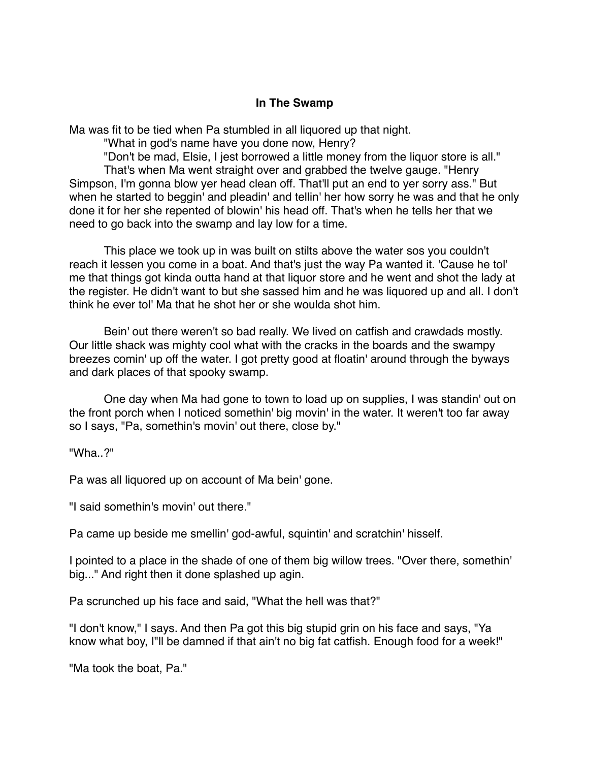## **In The Swamp**

Ma was fit to be tied when Pa stumbled in all liquored up that night.

"What in god's name have you done now, Henry?

"Don't be mad, Elsie, I jest borrowed a little money from the liquor store is all." That's when Ma went straight over and grabbed the twelve gauge. "Henry Simpson, I'm gonna blow yer head clean off. That'll put an end to yer sorry ass." But when he started to beggin' and pleadin' and tellin' her how sorry he was and that he only done it for her she repented of blowin' his head off. That's when he tells her that we need to go back into the swamp and lay low for a time.

This place we took up in was built on stilts above the water sos you couldn't reach it lessen you come in a boat. And that's just the way Pa wanted it. 'Cause he tol' me that things got kinda outta hand at that liquor store and he went and shot the lady at the register. He didn't want to but she sassed him and he was liquored up and all. I don't think he ever tol' Ma that he shot her or she woulda shot him.

Bein' out there weren't so bad really. We lived on catfish and crawdads mostly. Our little shack was mighty cool what with the cracks in the boards and the swampy breezes comin' up off the water. I got pretty good at floatin' around through the byways and dark places of that spooky swamp.

One day when Ma had gone to town to load up on supplies, I was standin' out on the front porch when I noticed somethin' big movin' in the water. It weren't too far away so I says, "Pa, somethin's movin' out there, close by."

"Wha..?"

Pa was all liquored up on account of Ma bein' gone.

"I said somethin's movin' out there."

Pa came up beside me smellin' god-awful, squintin' and scratchin' hisself.

I pointed to a place in the shade of one of them big willow trees. "Over there, somethin' big..." And right then it done splashed up agin.

Pa scrunched up his face and said, "What the hell was that?"

"I don't know," I says. And then Pa got this big stupid grin on his face and says, "Ya know what boy, I"ll be damned if that ain't no big fat catfish. Enough food for a week!"

"Ma took the boat, Pa."